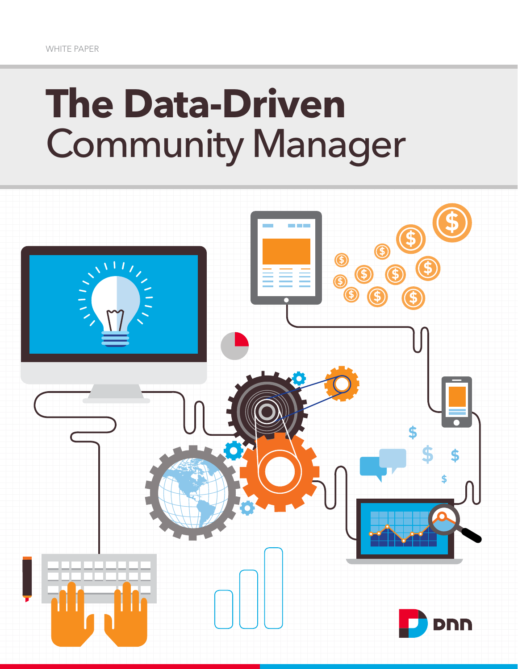# **The Data-Driven** Community Manager

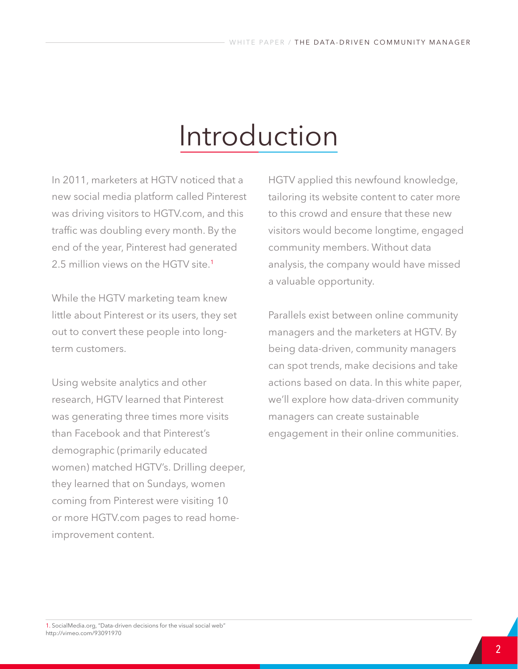# Introduction

In 2011, marketers at HGTV noticed that a new social media platform called Pinterest was driving visitors to HGTV.com, and this traffic was doubling every month. By the end of the year, Pinterest had generated 2.5 million views on the HGTV site.1

While the HGTV marketing team knew little about Pinterest or its users, they set out to convert these people into longterm customers.

Using website analytics and other research, HGTV learned that Pinterest was generating three times more visits than Facebook and that Pinterest's demographic (primarily educated women) matched HGTV's. Drilling deeper, they learned that on Sundays, women coming from Pinterest were visiting 10 or more HGTV.com pages to read homeimprovement content.

HGTV applied this newfound knowledge, tailoring its website content to cater more to this crowd and ensure that these new visitors would become longtime, engaged community members. Without data analysis, the company would have missed a valuable opportunity.

Parallels exist between online community managers and the marketers at HGTV. By being data-driven, community managers can spot trends, make decisions and take actions based on data. In this white paper, we'll explore how data-driven community managers can create sustainable engagement in their online communities.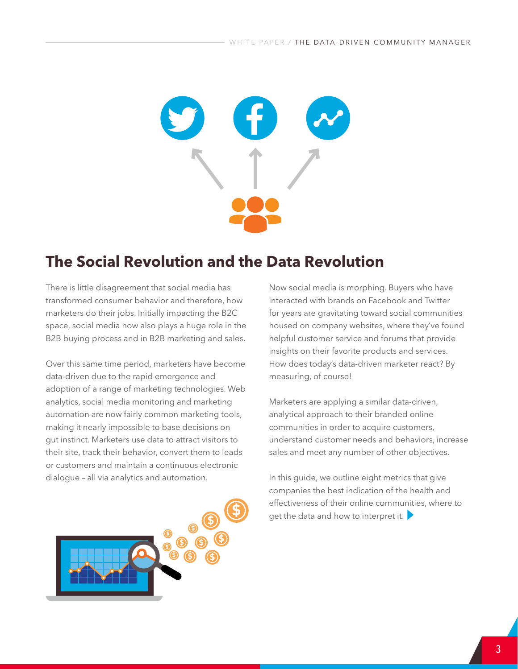

# **The Social Revolution and the Data Revolution**

There is little disagreement that social media has transformed consumer behavior and therefore, how marketers do their jobs. Initially impacting the B2C space, social media now also plays a huge role in the B2B buying process and in B2B marketing and sales.

Over this same time period, marketers have become data-driven due to the rapid emergence and adoption of a range of marketing technologies. Web analytics, social media monitoring and marketing automation are now fairly common marketing tools, making it nearly impossible to base decisions on gut instinct. Marketers use data to attract visitors to their site, track their behavior, convert them to leads or customers and maintain a continuous electronic dialogue – all via analytics and automation.



Now social media is morphing. Buyers who have interacted with brands on Facebook and Twitter for years are gravitating toward social communities housed on company websites, where they've found helpful customer service and forums that provide insights on their favorite products and services. How does today's data-driven marketer react? By measuring, of course!

Marketers are applying a similar data-driven, analytical approach to their branded online communities in order to acquire customers, understand customer needs and behaviors, increase sales and meet any number of other objectives.

In this guide, we outline eight metrics that give companies the best indication of the health and effectiveness of their online communities, where to get the data and how to interpret it.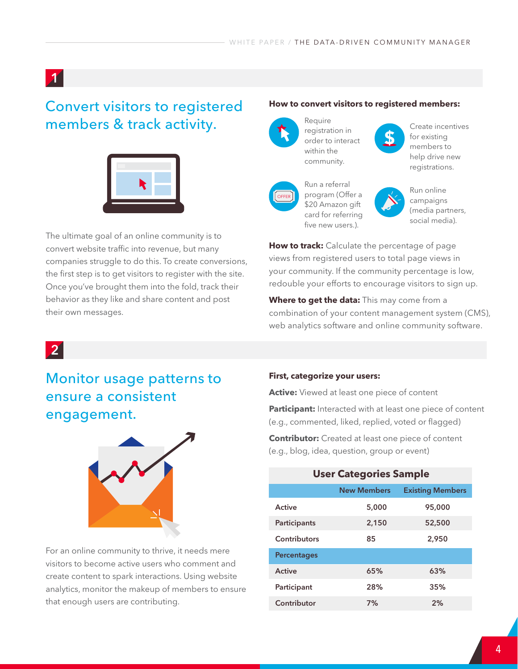#### Convert visitors to registered members & track activity.



The ultimate goal of an online community is to convert website traffic into revenue, but many companies struggle to do this. To create conversions, the first step is to get visitors to register with the site. Once you've brought them into the fold, track their behavior as they like and share content and post their own messages.

#### **How to convert visitors to registered members:**

Require within the



Create incentives for existing members to help drive new registrations.



Run a referral program (Offer a \$20 Amazon gift card for referring five new users.).



**\$**

Run online campaigns (media partners, social media).

**How to track:** Calculate the percentage of page views from registered users to total page views in your community. If the community percentage is low, redouble your efforts to encourage visitors to sign up.

**Where to get the data:** This may come from a combination of your content management system (CMS), web analytics software and online community software.

#### 2

# Monitor usage patterns to ensure a consistent engagement.



For an online community to thrive, it needs mere visitors to become active users who comment and create content to spark interactions. Using website analytics, monitor the makeup of members to ensure that enough users are contributing.

#### **First, categorize your users:**

**Active:** Viewed at least one piece of content

**Participant:** Interacted with at least one piece of content (e.g., commented, liked, replied, voted or flagged)

**Contributor:** Created at least one piece of content (e.g., blog, idea, question, group or event)

| <b>User Categories Sample</b> |                    |                         |  |  |
|-------------------------------|--------------------|-------------------------|--|--|
|                               | <b>New Members</b> | <b>Existing Members</b> |  |  |
| Active                        | 5,000              | 95,000                  |  |  |
| Participants                  | 2,150              | 52,500                  |  |  |
| Contributors                  | 85                 | 2.950                   |  |  |
| <b>Percentages</b>            |                    |                         |  |  |
| Active                        | 65%                | 63%                     |  |  |
| Participant                   | 28%                | 35%                     |  |  |
| Contributor                   | 7%                 | 2%                      |  |  |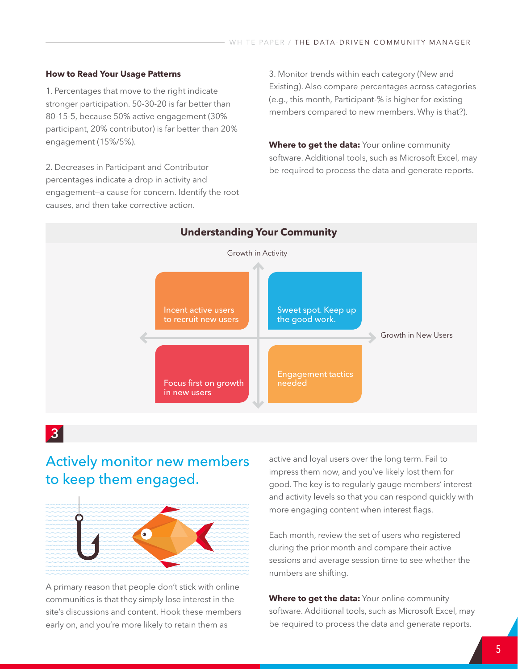#### **How to Read Your Usage Patterns**

1. Percentages that move to the right indicate stronger participation. 50-30-20 is far better than 80-15-5, because 50% active engagement (30% participant, 20% contributor) is far better than 20% engagement (15%/5%).

2. Decreases in Participant and Contributor percentages indicate a drop in activity and engagement—a cause for concern. Identify the root causes, and then take corrective action.

3. Monitor trends within each category (New and Existing). Also compare percentages across categories (e.g., this month, Participant-% is higher for existing members compared to new members. Why is that?).

**Where to get the data:** Your online community software. Additional tools, such as Microsoft Excel, may be required to process the data and generate reports.



#### 3

#### Actively monitor new members to keep them engaged.



A primary reason that people don't stick with online communities is that they simply lose interest in the site's discussions and content. Hook these members early on, and you're more likely to retain them as

active and loyal users over the long term. Fail to impress them now, and you've likely lost them for good. The key is to regularly gauge members' interest and activity levels so that you can respond quickly with more engaging content when interest flags.

Each month, review the set of users who registered during the prior month and compare their active sessions and average session time to see whether the numbers are shifting.

**Where to get the data:** Your online community software. Additional tools, such as Microsoft Excel, may be required to process the data and generate reports.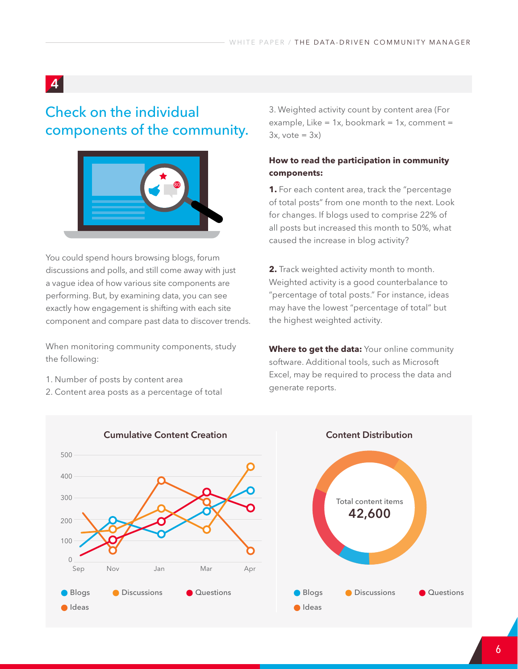# Check on the individual components of the community.



You could spend hours browsing blogs, forum discussions and polls, and still come away with just a vague idea of how various site components are performing. But, by examining data, you can see exactly how engagement is shifting with each site component and compare past data to discover trends.

When monitoring community components, study the following:

- 1. Number of posts by content area
- 2. Content area posts as a percentage of total

3. Weighted activity count by content area (For example, Like =  $1x$ , bookmark =  $1x$ , comment =  $3x, \text{vote} = 3x$ 

#### **How to read the participation in community components:**

**1.** For each content area, track the "percentage of total posts" from one month to the next. Look for changes. If blogs used to comprise 22% of all posts but increased this month to 50%, what caused the increase in blog activity?

**2.** Track weighted activity month to month. Weighted activity is a good counterbalance to "percentage of total posts." For instance, ideas may have the lowest "percentage of total" but the highest weighted activity.

**Where to get the data:** Your online community software. Additional tools, such as Microsoft Excel, may be required to process the data and generate reports.

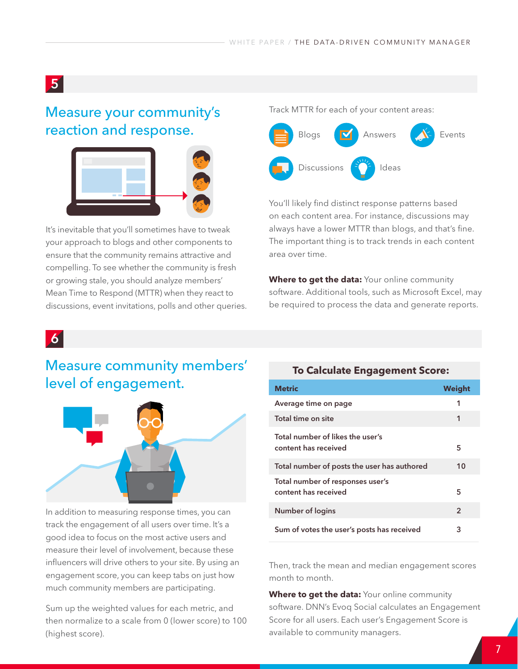#### Measure your community's reaction and response.



It's inevitable that you'll sometimes have to tweak your approach to blogs and other components to ensure that the community remains attractive and compelling. To see whether the community is fresh or growing stale, you should analyze members' Mean Time to Respond (MTTR) when they react to discussions, event invitations, polls and other queries. Track MTTR for each of your content areas:



You'll likely find distinct response patterns based on each content area. For instance, discussions may always have a lower MTTR than blogs, and that's fine. The important thing is to track trends in each content area over time.

**Where to get the data:** Your online community software. Additional tools, such as Microsoft Excel, may be required to process the data and generate reports.

#### 6

### Measure community members' level of engagement.



In addition to measuring response times, you can track the engagement of all users over time. It's a good idea to focus on the most active users and measure their level of involvement, because these influencers will drive others to your site. By using an engagement score, you can keep tabs on just how much community members are participating.

Sum up the weighted values for each metric, and then normalize to a scale from 0 (lower score) to 100 (highest score).

#### **To Calculate Engagement Score:**

| <b>Metric</b>                                            | Weight         |
|----------------------------------------------------------|----------------|
| Average time on page                                     | 1              |
| Total time on site                                       | 1              |
| Total number of likes the user's<br>content has received | 5              |
| Total number of posts the user has authored              | 10             |
| Total number of responses user's<br>content has received | 5              |
| Number of logins                                         | $\overline{2}$ |
| Sum of votes the user's posts has received               | 3              |

Then, track the mean and median engagement scores month to month.

**Where to get the data:** Your online community software. DNN's Evoq Social calculates an Engagement Score for all users. Each user's Engagement Score is available to community managers.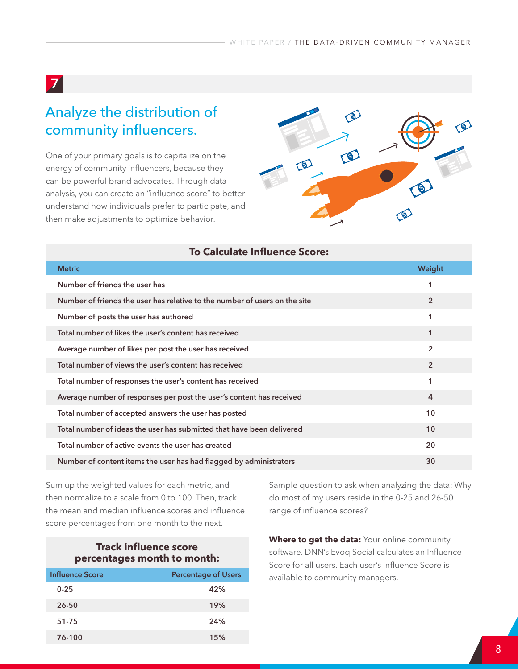# Analyze the distribution of community influencers.

One of your primary goals is to capitalize on the energy of community influencers, because they can be powerful brand advocates. Through data analysis, you can create an "influence score" to better understand how individuals prefer to participate, and then make adjustments to optimize behavior.



|  |  | <b>To Calculate Influence Score:</b> |  |
|--|--|--------------------------------------|--|
|--|--|--------------------------------------|--|

| <b>Metric</b>                                                              | Weight         |
|----------------------------------------------------------------------------|----------------|
| Number of friends the user has                                             | 1              |
| Number of friends the user has relative to the number of users on the site | $\overline{2}$ |
| Number of posts the user has authored                                      | 1              |
| Total number of likes the user's content has received                      | $\mathbf 1$    |
| Average number of likes per post the user has received                     | $\overline{2}$ |
| Total number of views the user's content has received                      | $\overline{2}$ |
| Total number of responses the user's content has received                  | 1              |
| Average number of responses per post the user's content has received       | 4              |
| Total number of accepted answers the user has posted                       | 10             |
| Total number of ideas the user has submitted that have been delivered      | 10             |
| Total number of active events the user has created                         | 20             |
| Number of content items the user has had flagged by administrators         | 30             |

Sum up the weighted values for each metric, and then normalize to a scale from 0 to 100. Then, track the mean and median influence scores and influence score percentages from one month to the next.

#### **Track influence score percentages month to month:**

| <b>Influence Score</b> | <b>Percentage of Users</b> |
|------------------------|----------------------------|
| $0 - 25$               | 42%                        |
| 26-50                  | 19%                        |
| 51-75                  | 24%                        |
| 76-100                 | 15%                        |

Sample question to ask when analyzing the data: Why do most of my users reside in the 0-25 and 26-50 range of influence scores?

**Where to get the data:** Your online community software. DNN's Evoq Social calculates an Influence Score for all users. Each user's Influence Score is available to community managers.